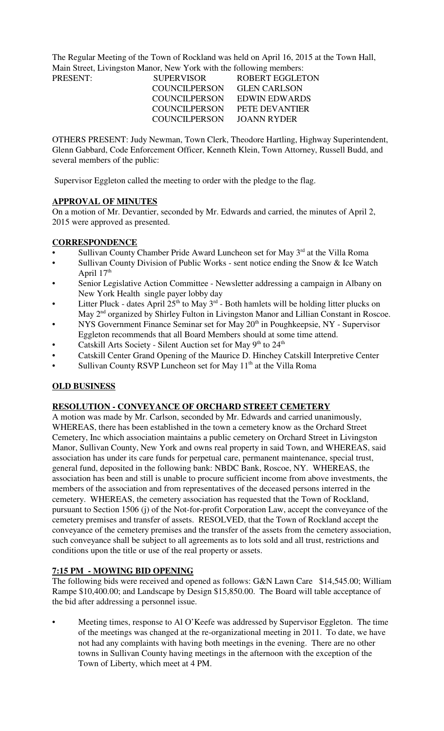The Regular Meeting of the Town of Rockland was held on April 16, 2015 at the Town Hall, Main Street, Livingston Manor, New York with the following members:

| PRESENT: | <b>SUPERVISOR</b>    | <b>ROBERT EGGLETON</b> |
|----------|----------------------|------------------------|
|          | COUNCIL PERSON       | <b>GLEN CARLSON</b>    |
|          | <b>COUNCILPERSON</b> | EDWIN EDWARDS          |
|          | COUNCIL PERSON       | PETE DEVANTIER         |
|          | COUNCILPERSON        | JOANN RYDER            |
|          |                      |                        |

OTHERS PRESENT: Judy Newman, Town Clerk, Theodore Hartling, Highway Superintendent, Glenn Gabbard, Code Enforcement Officer, Kenneth Klein, Town Attorney, Russell Budd, and several members of the public:

Supervisor Eggleton called the meeting to order with the pledge to the flag.

### **APPROVAL OF MINUTES**

On a motion of Mr. Devantier, seconded by Mr. Edwards and carried, the minutes of April 2, 2015 were approved as presented.

#### **CORRESPONDENCE**

- Sullivan County Chamber Pride Award Luncheon set for May 3<sup>rd</sup> at the Villa Roma
- Sullivan County Division of Public Works sent notice ending the Snow & Ice Watch April  $17<sup>th</sup>$
- Senior Legislative Action Committee Newsletter addressing a campaign in Albany on New York Health single payer lobby day
- Litter Pluck dates April  $25<sup>th</sup>$  to May 3<sup>rd</sup> Both hamlets will be holding litter plucks on May 2<sup>nd</sup> organized by Shirley Fulton in Livingston Manor and Lillian Constant in Roscoe.
- NYS Government Finance Seminar set for May  $20<sup>th</sup>$  in Poughkeepsie, NY Supervisor Eggleton recommends that all Board Members should at some time attend.
- Catskill Arts Society Silent Auction set for May 9<sup>th</sup> to 24<sup>th</sup>
- Catskill Center Grand Opening of the Maurice D. Hinchey Catskill Interpretive Center
- Sullivan County RSVP Luncheon set for May  $11<sup>th</sup>$  at the Villa Roma

## **OLD BUSINESS**

#### **RESOLUTION - CONVEYANCE OF ORCHARD STREET CEMETERY**

A motion was made by Mr. Carlson, seconded by Mr. Edwards and carried unanimously, WHEREAS, there has been established in the town a cemetery know as the Orchard Street Cemetery, Inc which association maintains a public cemetery on Orchard Street in Livingston Manor, Sullivan County, New York and owns real property in said Town, and WHEREAS, said association has under its care funds for perpetual care, permanent maintenance, special trust, general fund, deposited in the following bank: NBDC Bank, Roscoe, NY. WHEREAS, the association has been and still is unable to procure sufficient income from above investments, the members of the association and from representatives of the deceased persons interred in the cemetery. WHEREAS, the cemetery association has requested that the Town of Rockland, pursuant to Section 1506 (j) of the Not-for-profit Corporation Law, accept the conveyance of the cemetery premises and transfer of assets. RESOLVED, that the Town of Rockland accept the conveyance of the cemetery premises and the transfer of the assets from the cemetery association, such conveyance shall be subject to all agreements as to lots sold and all trust, restrictions and conditions upon the title or use of the real property or assets.

## **7:15 PM - MOWING BID OPENING**

The following bids were received and opened as follows: G&N Lawn Care \$14,545.00; William Rampe \$10,400.00; and Landscape by Design \$15,850.00. The Board will table acceptance of the bid after addressing a personnel issue.

• Meeting times, response to Al O'Keefe was addressed by Supervisor Eggleton. The time of the meetings was changed at the re-organizational meeting in 2011. To date, we have not had any complaints with having both meetings in the evening. There are no other towns in Sullivan County having meetings in the afternoon with the exception of the Town of Liberty, which meet at 4 PM.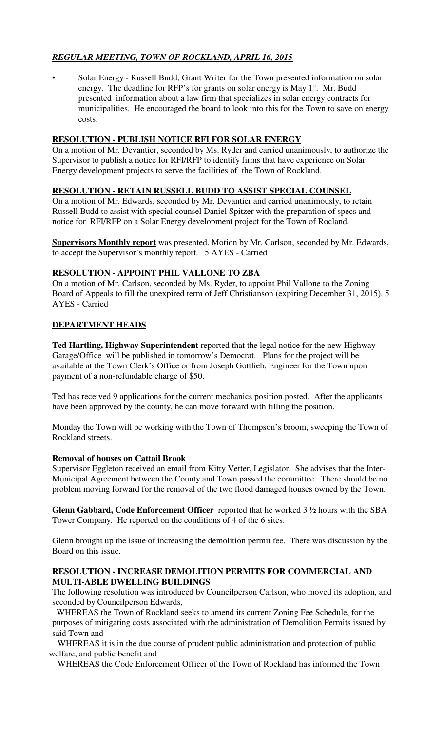# *REGULAR MEETING, TOWN OF ROCKLAND, APRIL 16, 2015*

• Solar Energy - Russell Budd, Grant Writer for the Town presented information on solar energy. The deadline for RFP's for grants on solar energy is May 1<sup>st</sup>. Mr. Budd presented information about a law firm that specializes in solar energy contracts for municipalities. He encouraged the board to look into this for the Town to save on energy costs.

# **RESOLUTION - PUBLISH NOTICE RFI FOR SOLAR ENERGY**

On a motion of Mr. Devantier, seconded by Ms. Ryder and carried unanimously, to authorize the Supervisor to publish a notice for RFI/RFP to identify firms that have experience on Solar Energy development projects to serve the facilities of the Town of Rockland.

## **RESOLUTION - RETAIN RUSSELL BUDD TO ASSIST SPECIAL COUNSEL**

On a motion of Mr. Edwards, seconded by Mr. Devantier and carried unanimously, to retain Russell Budd to assist with special counsel Daniel Spitzer with the preparation of specs and notice for RFI/RFP on a Solar Energy development project for the Town of Rocland.

**Supervisors Monthly report** was presented. Motion by Mr. Carlson, seconded by Mr. Edwards, to accept the Supervisor's monthly report. 5 AYES - Carried

## **RESOLUTION - APPOINT PHIL VALLONE TO ZBA**

On a motion of Mr. Carlson, seconded by Ms. Ryder, to appoint Phil Vallone to the Zoning Board of Appeals to fill the unexpired term of Jeff Christianson (expiring December 31, 2015). 5 AYES - Carried

## **DEPARTMENT HEADS**

**Ted Hartling, Highway Superintendent** reported that the legal notice for the new Highway Garage/Office will be published in tomorrow's Democrat. Plans for the project will be available at the Town Clerk's Office or from Joseph Gottlieb, Engineer for the Town upon payment of a non-refundable charge of \$50.

Ted has received 9 applications for the current mechanics position posted. After the applicants have been approved by the county, he can move forward with filling the position.

Monday the Town will be working with the Town of Thompson's broom, sweeping the Town of Rockland streets.

## **Removal of houses on Cattail Brook**

Supervisor Eggleton received an email from Kitty Vetter, Legislator. She advises that the Inter-Municipal Agreement between the County and Town passed the committee. There should be no problem moving forward for the removal of the two flood damaged houses owned by the Town.

**Glenn Gabbard, Code Enforcement Officer** reported that he worked 3 ½ hours with the SBA Tower Company. He reported on the conditions of 4 of the 6 sites.

Glenn brought up the issue of increasing the demolition permit fee. There was discussion by the Board on this issue.

### **RESOLUTION - INCREASE DEMOLITION PERMITS FOR COMMERCIAL AND MULTI-ABLE DWELLING BUILDINGS**

The following resolution was introduced by Councilperson Carlson, who moved its adoption, and seconded by Councilperson Edwards,

 WHEREAS the Town of Rockland seeks to amend its current Zoning Fee Schedule, for the purposes of mitigating costs associated with the administration of Demolition Permits issued by said Town and

 WHEREAS it is in the due course of prudent public administration and protection of public welfare, and public benefit and

WHEREAS the Code Enforcement Officer of the Town of Rockland has informed the Town